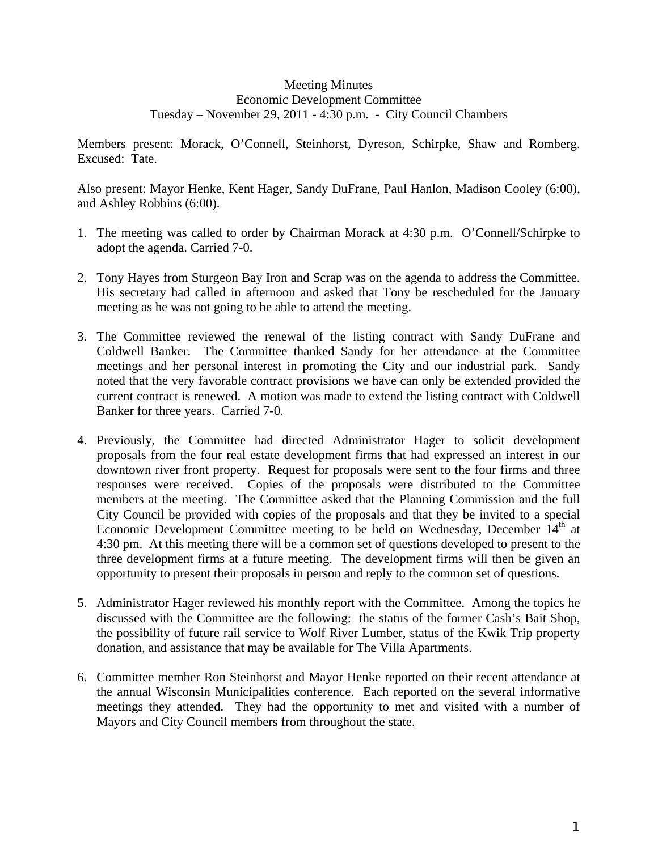## Meeting Minutes Economic Development Committee Tuesday – November 29, 2011 - 4:30 p.m. - City Council Chambers

Members present: Morack, O'Connell, Steinhorst, Dyreson, Schirpke, Shaw and Romberg. Excused: Tate.

Also present: Mayor Henke, Kent Hager, Sandy DuFrane, Paul Hanlon, Madison Cooley (6:00), and Ashley Robbins (6:00).

- 1. The meeting was called to order by Chairman Morack at 4:30 p.m. O'Connell/Schirpke to adopt the agenda. Carried 7-0.
- 2. Tony Hayes from Sturgeon Bay Iron and Scrap was on the agenda to address the Committee. His secretary had called in afternoon and asked that Tony be rescheduled for the January meeting as he was not going to be able to attend the meeting.
- 3. The Committee reviewed the renewal of the listing contract with Sandy DuFrane and Coldwell Banker. The Committee thanked Sandy for her attendance at the Committee meetings and her personal interest in promoting the City and our industrial park. Sandy noted that the very favorable contract provisions we have can only be extended provided the current contract is renewed. A motion was made to extend the listing contract with Coldwell Banker for three years. Carried 7-0.
- 4. Previously, the Committee had directed Administrator Hager to solicit development proposals from the four real estate development firms that had expressed an interest in our downtown river front property. Request for proposals were sent to the four firms and three responses were received. Copies of the proposals were distributed to the Committee members at the meeting. The Committee asked that the Planning Commission and the full City Council be provided with copies of the proposals and that they be invited to a special Economic Development Committee meeting to be held on Wednesday, December  $14<sup>th</sup>$  at 4:30 pm. At this meeting there will be a common set of questions developed to present to the three development firms at a future meeting. The development firms will then be given an opportunity to present their proposals in person and reply to the common set of questions.
- 5. Administrator Hager reviewed his monthly report with the Committee. Among the topics he discussed with the Committee are the following: the status of the former Cash's Bait Shop, the possibility of future rail service to Wolf River Lumber, status of the Kwik Trip property donation, and assistance that may be available for The Villa Apartments.
- 6. Committee member Ron Steinhorst and Mayor Henke reported on their recent attendance at the annual Wisconsin Municipalities conference. Each reported on the several informative meetings they attended. They had the opportunity to met and visited with a number of Mayors and City Council members from throughout the state.